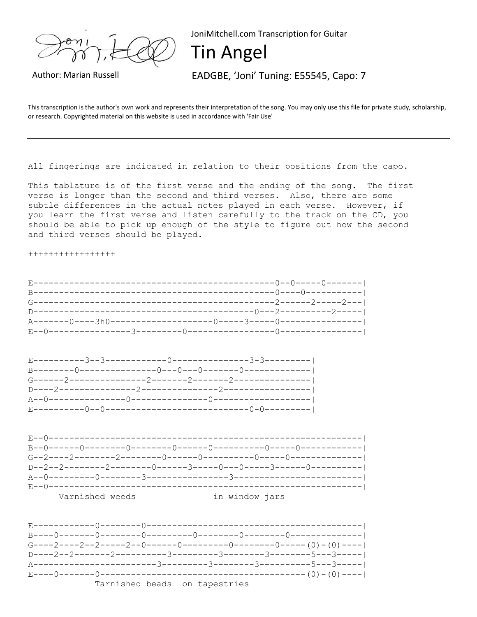

JoniMitchell.com Transcription for Guitar

## Tin Angel

Author: Marian Russell EADGBE, 'Joni' Tuning: E55545, Capo: 7

This transcription is the author's own work and represents their interpretation of the song. You may only use this file for private study, scholarship, or research. Copyrighted material on this website is used in accordance with 'Fair Use'

All fingerings are indicated in relation to their positions from the capo.

This tablature is of the first verse and the ending of the song. The first verse is longer than the second and third verses. Also, there are some subtle differences in the actual notes played in each verse. However, if you learn the first verse and listen carefully to the track on the CD, you should be able to pick up enough of the style to figure out how the second and third verses should be played.

+++++++++++++++++

E-----------------------------------------------0--0-----0-------| B-----------------------------------------------0----0-----------| G-----------------------------------------------2------2-----2---| D-------------------------------------------0---2----------2-----| A-------0----3h0--------------------0-----3-----0----------------| E--0----------------3---------0-----------------0----------------|

E----------3--3------------0---------------3-3---------| B--------0---------------0---0---0-------0-------------| G------2---------------2-------2-------2---------------| D----2---------------2---------------2-----------------| A--0---------------0---------------0-------------------| E----------0--0----------------------------0-0---------|



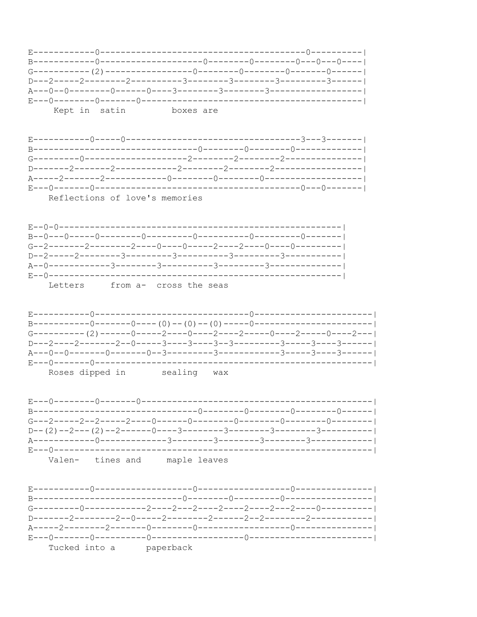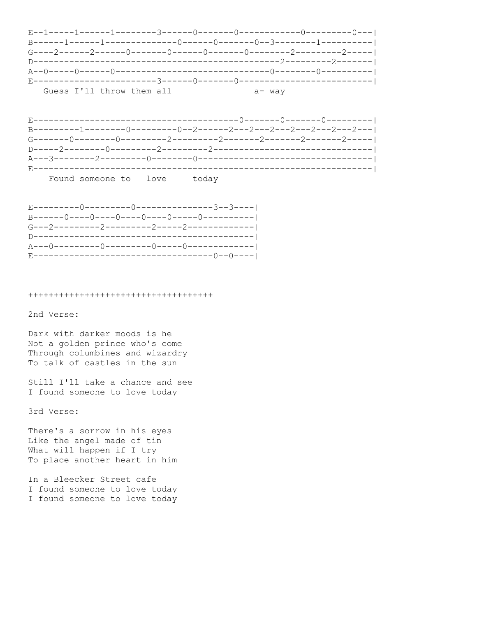

|  | Found someone to love today |  |  |  |
|--|-----------------------------|--|--|--|

E---------0---------0---------------3--3----| B------0----0----0----0----0-----0----------| G---2---------2---------2-----2-------------| D-------------------------------------------| A---0---------0---------0-----0-------------| E-----------------------------------0--0----|

++++++++++++++++++++++++++++++++++++

2nd Verse:

Dark with darker moods is he Not a golden prince who's come Through columbines and wizardry To talk of castles in the sun

Still I'll take a chance and see I found someone to love today

3rd Verse:

There's a sorrow in his eyes Like the angel made of tin What will happen if I try To place another heart in him

In a Bleecker Street cafe I found someone to love today I found someone to love today